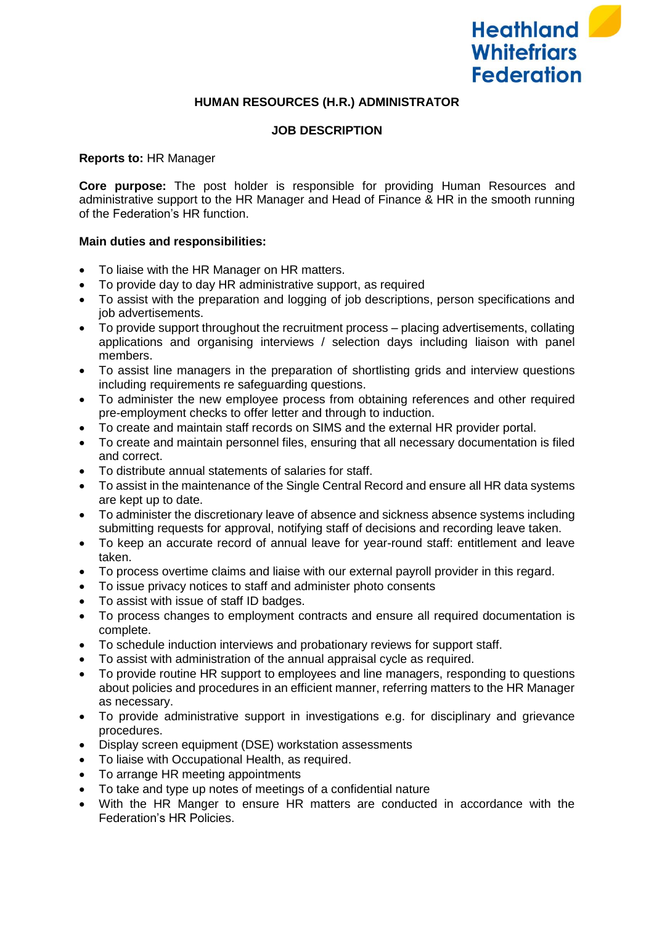

## **HUMAN RESOURCES (H.R.) ADMINISTRATOR**

### **JOB DESCRIPTION**

### **Reports to:** HR Manager

**Core purpose:** The post holder is responsible for providing Human Resources and administrative support to the HR Manager and Head of Finance & HR in the smooth running of the Federation's HR function.

#### **Main duties and responsibilities:**

- To liaise with the HR Manager on HR matters.
- To provide day to day HR administrative support, as required
- To assist with the preparation and logging of job descriptions, person specifications and job advertisements.
- To provide support throughout the recruitment process placing advertisements, collating applications and organising interviews / selection days including liaison with panel members.
- To assist line managers in the preparation of shortlisting grids and interview questions including requirements re safeguarding questions.
- To administer the new employee process from obtaining references and other required pre-employment checks to offer letter and through to induction.
- To create and maintain staff records on SIMS and the external HR provider portal.
- To create and maintain personnel files, ensuring that all necessary documentation is filed and correct.
- To distribute annual statements of salaries for staff.
- To assist in the maintenance of the Single Central Record and ensure all HR data systems are kept up to date.
- To administer the discretionary leave of absence and sickness absence systems including submitting requests for approval, notifying staff of decisions and recording leave taken.
- To keep an accurate record of annual leave for year-round staff: entitlement and leave taken.
- To process overtime claims and liaise with our external payroll provider in this regard.
- To issue privacy notices to staff and administer photo consents
- To assist with issue of staff ID badges.
- To process changes to employment contracts and ensure all required documentation is complete.
- To schedule induction interviews and probationary reviews for support staff.
- To assist with administration of the annual appraisal cycle as required.
- To provide routine HR support to employees and line managers, responding to questions about policies and procedures in an efficient manner, referring matters to the HR Manager as necessary.
- To provide administrative support in investigations e.g. for disciplinary and grievance procedures.
- Display screen equipment (DSE) workstation assessments
- To liaise with Occupational Health, as required.
- To arrange HR meeting appointments
- To take and type up notes of meetings of a confidential nature
- With the HR Manger to ensure HR matters are conducted in accordance with the Federation's HR Policies.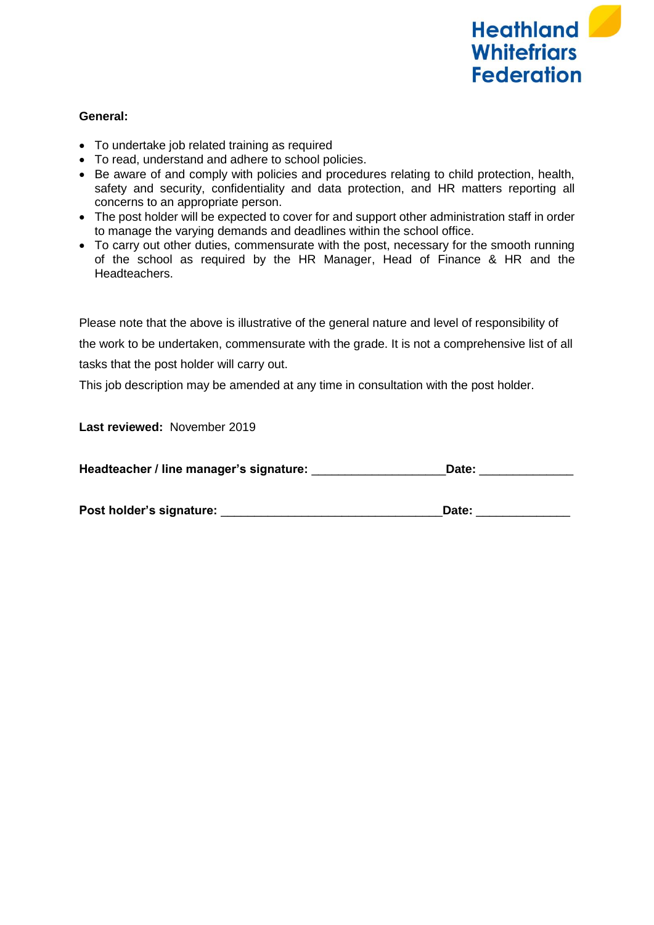

## **General:**

- To undertake job related training as required
- To read, understand and adhere to school policies.
- Be aware of and comply with policies and procedures relating to child protection, health, safety and security, confidentiality and data protection, and HR matters reporting all concerns to an appropriate person.
- The post holder will be expected to cover for and support other administration staff in order to manage the varying demands and deadlines within the school office.
- To carry out other duties, commensurate with the post, necessary for the smooth running of the school as required by the HR Manager, Head of Finance & HR and the Headteachers.

Please note that the above is illustrative of the general nature and level of responsibility of the work to be undertaken, commensurate with the grade. It is not a comprehensive list of all tasks that the post holder will carry out.

This job description may be amended at any time in consultation with the post holder.

**Last reviewed:** November 2019

| Headteacher / line manager's signature:<br>Date: |
|--------------------------------------------------|
|--------------------------------------------------|

| Post holder's signature:<br>Date: |
|-----------------------------------|
|-----------------------------------|